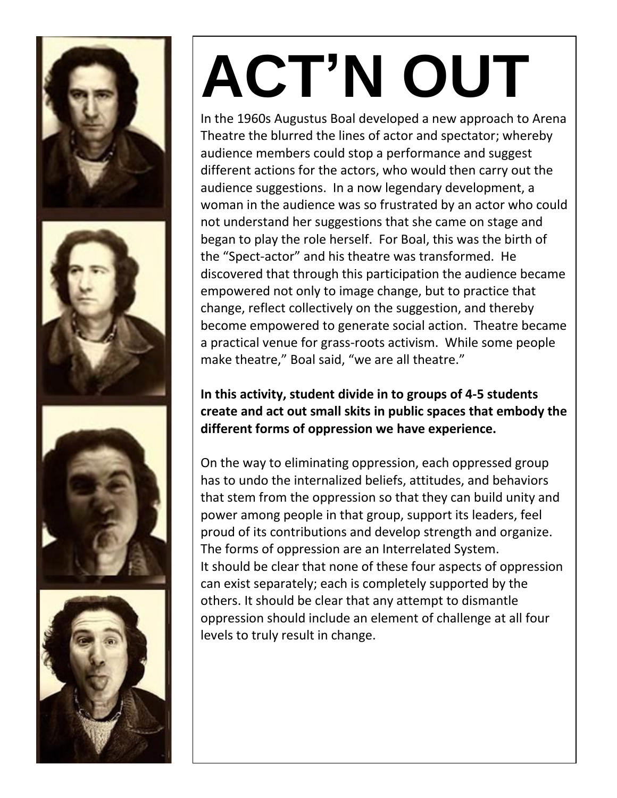

# **ACT'N OUT**

In the 1960s Augustus Boal developed a new approach to Arena Theatre the blurred the lines of actor and spectator; whereby audience members could stop a performance and suggest different actions for the actors, who would then carry out the audience suggestions. In a now legendary development, a woman in the audience was so frustrated by an actor who could not understand her suggestions that she came on stage and began to play the role herself. For Boal, this was the birth of the "Spect-actor" and his theatre was transformed. He discovered that through this participation the audience became empowered not only to image change, but to practice that change, reflect collectively on the suggestion, and thereby become empowered to generate social action. Theatre became a practical venue for grass-roots activism. While some people make theatre," Boal said, "we are all theatre."

**In this activity, student divide in to groups of 4-5 students create and act out small skits in public spaces that embody the different forms of oppression we have experience.** 

On the way to eliminating oppression, each oppressed group has to undo the internalized beliefs, attitudes, and behaviors that stem from the oppression so that they can build unity and power among people in that group, support its leaders, feel proud of its contributions and develop strength and organize. The forms of oppression are an Interrelated System. It should be clear that none of these four aspects of oppression can exist separately; each is completely supported by the others. It should be clear that any attempt to dismantle oppression should include an element of challenge at all four levels to truly result in change.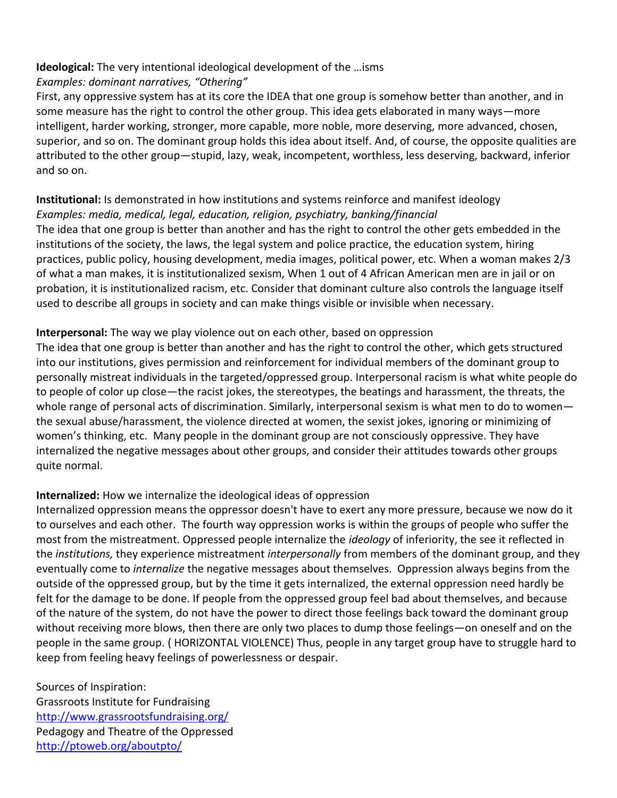#### **Ideological:** The very intentional ideological development of the …isms *Examples: dominant narratives, "Othering"*

First, any oppressive system has at its core the IDEA that one group is somehow better than another, and in some measure has the right to control the other group. This idea gets elaborated in many ways—more intelligent, harder working, stronger, more capable, more noble, more deserving, more advanced, chosen, superior, and so on. The dominant group holds this idea about itself. And, of course, the opposite qualities are attributed to the other group—stupid, lazy, weak, incompetent, worthless, less deserving, backward, inferior and so on.

# **Institutional:** Is demonstrated in how institutions and systems reinforce and manifest ideology *Examples: media, medical, legal, education, religion, psychiatry, banking/financial*

The idea that one group is better than another and has the right to control the other gets embedded in the institutions of the society, the laws, the legal system and police practice, the education system, hiring practices, public policy, housing development, media images, political power, etc. When a woman makes 2/3 of what a man makes, it is institutionalized sexism, When 1 out of 4 African American men are in jail or on probation, it is institutionalized racism, etc. Consider that dominant culture also controls the language itself used to describe all groups in society and can make things visible or invisible when necessary.

## **Interpersonal:** The way we play violence out on each other, based on oppression

The idea that one group is better than another and has the right to control the other, which gets structured into our institutions, gives permission and reinforcement for individual members of the dominant group to personally mistreat individuals in the targeted/oppressed group. Interpersonal racism is what white people do to people of color up close—the racist jokes, the stereotypes, the beatings and harassment, the threats, the whole range of personal acts of discrimination. Similarly, interpersonal sexism is what men to do to women the sexual abuse/harassment, the violence directed at women, the sexist jokes, ignoring or minimizing of women's thinking, etc. Many people in the dominant group are not consciously oppressive. They have internalized the negative messages about other groups, and consider their attitudes towards other groups quite normal.

## **Internalized:** How we internalize the ideological ideas of oppression

Internalized oppression means the oppressor doesn't have to exert any more pressure, because we now do it to ourselves and each other. The fourth way oppression works is within the groups of people who suffer the most from the mistreatment. Oppressed people internalize the *ideology* of inferiority, the see it reflected in the *institutions,* they experience mistreatment *interpersonally* from members of the dominant group, and they eventually come to *internalize* the negative messages about themselves. Oppression always begins from the outside of the oppressed group, but by the time it gets internalized, the external oppression need hardly be felt for the damage to be done. If people from the oppressed group feel bad about themselves, and because of the nature of the system, do not have the power to direct those feelings back toward the dominant group without receiving more blows, then there are only two places to dump those feelings—on oneself and on the people in the same group. ( HORIZONTAL VIOLENCE) Thus, people in any target group have to struggle hard to keep from feeling heavy feelings of powerlessness or despair.

Sources of Inspiration: Grassroots Institute for Fundraising <http://www.grassrootsfundraising.org/> Pedagogy and Theatre of the Oppressed <http://ptoweb.org/aboutpto/>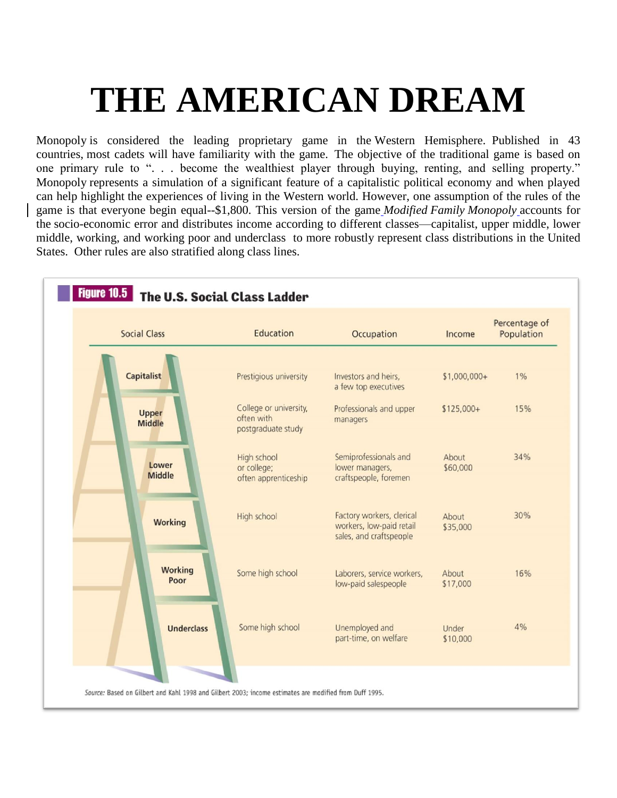# **THE AMERICAN DREAM**

Monopoly is considered the leading proprietary game in the Western Hemisphere. Published in 43 countries, most cadets will have familiarity with the game. The objective of the traditional game is based on one primary rule to ". . . become the wealthiest player through buying, renting, and selling property." Monopoly represents a simulation of a significant feature of a capitalistic political economy and when played can help highlight the experiences of living in the Western world. However, one assumption of the rules of the game is that everyone begin equal--\$1,800. This version of the game *Modified Family Monopoly* accounts for the socio-economic error and distributes income according to different classes—capitalist, upper middle, lower middle, working, and working poor and underclass to more robustly represent class distributions in the United States. Other rules are also stratified along class lines.